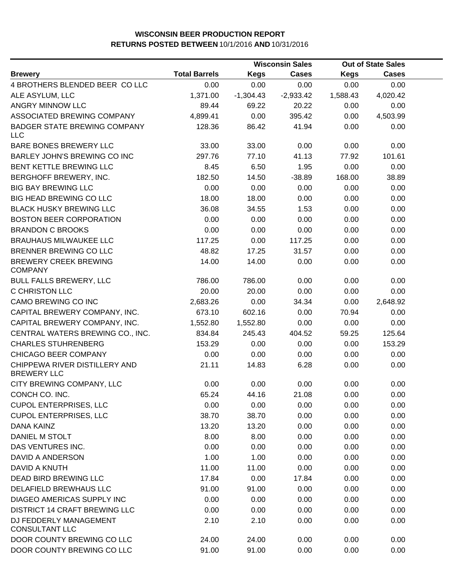|                                                     |                      | <b>Wisconsin Sales</b> |              |             | Out of State Sales |  |
|-----------------------------------------------------|----------------------|------------------------|--------------|-------------|--------------------|--|
| <b>Brewery</b>                                      | <b>Total Barrels</b> | <b>Kegs</b>            | <b>Cases</b> | <b>Kegs</b> | <b>Cases</b>       |  |
| 4 BROTHERS BLENDED BEER COLLC                       | 0.00                 | 0.00                   | 0.00         | 0.00        | 0.00               |  |
| ALE ASYLUM, LLC                                     | 1,371.00             | $-1,304.43$            | $-2,933.42$  | 1,588.43    | 4,020.42           |  |
| ANGRY MINNOW LLC                                    | 89.44                | 69.22                  | 20.22        | 0.00        | 0.00               |  |
| ASSOCIATED BREWING COMPANY                          | 4,899.41             | 0.00                   | 395.42       | 0.00        | 4,503.99           |  |
| <b>BADGER STATE BREWING COMPANY</b><br><b>LLC</b>   | 128.36               | 86.42                  | 41.94        | 0.00        | 0.00               |  |
| BARE BONES BREWERY LLC                              | 33.00                | 33.00                  | 0.00         | 0.00        | 0.00               |  |
| BARLEY JOHN'S BREWING CO INC                        | 297.76               | 77.10                  | 41.13        | 77.92       | 101.61             |  |
| BENT KETTLE BREWING LLC                             | 8.45                 | 6.50                   | 1.95         | 0.00        | 0.00               |  |
| BERGHOFF BREWERY, INC.                              | 182.50               | 14.50                  | $-38.89$     | 168.00      | 38.89              |  |
| <b>BIG BAY BREWING LLC</b>                          | 0.00                 | 0.00                   | 0.00         | 0.00        | 0.00               |  |
| <b>BIG HEAD BREWING CO LLC</b>                      | 18.00                | 18.00                  | 0.00         | 0.00        | 0.00               |  |
| <b>BLACK HUSKY BREWING LLC</b>                      | 36.08                | 34.55                  | 1.53         | 0.00        | 0.00               |  |
| <b>BOSTON BEER CORPORATION</b>                      | 0.00                 | 0.00                   | 0.00         | 0.00        | 0.00               |  |
| <b>BRANDON C BROOKS</b>                             | 0.00                 | 0.00                   | 0.00         | 0.00        | 0.00               |  |
| <b>BRAUHAUS MILWAUKEE LLC</b>                       | 117.25               | 0.00                   | 117.25       | 0.00        | 0.00               |  |
| BRENNER BREWING CO LLC                              | 48.82                | 17.25                  | 31.57        | 0.00        | 0.00               |  |
| <b>BREWERY CREEK BREWING</b><br><b>COMPANY</b>      | 14.00                | 14.00                  | 0.00         | 0.00        | 0.00               |  |
| <b>BULL FALLS BREWERY, LLC</b>                      | 786.00               | 786.00                 | 0.00         | 0.00        | 0.00               |  |
| <b>C CHRISTON LLC</b>                               | 20.00                | 20.00                  | 0.00         | 0.00        | 0.00               |  |
| CAMO BREWING CO INC                                 | 2,683.26             | 0.00                   | 34.34        | 0.00        | 2,648.92           |  |
| CAPITAL BREWERY COMPANY, INC.                       | 673.10               | 602.16                 | 0.00         | 70.94       | 0.00               |  |
| CAPITAL BREWERY COMPANY, INC.                       | 1,552.80             | 1,552.80               | 0.00         | 0.00        | 0.00               |  |
| CENTRAL WATERS BREWING CO., INC.                    | 834.84               | 245.43                 | 404.52       | 59.25       | 125.64             |  |
| <b>CHARLES STUHRENBERG</b>                          | 153.29               | 0.00                   | 0.00         | 0.00        | 153.29             |  |
| CHICAGO BEER COMPANY                                | 0.00                 | 0.00                   | 0.00         | 0.00        | 0.00               |  |
| CHIPPEWA RIVER DISTILLERY AND<br><b>BREWERY LLC</b> | 21.11                | 14.83                  | 6.28         | 0.00        | 0.00               |  |
| CITY BREWING COMPANY, LLC                           | 0.00                 | 0.00                   | 0.00         | 0.00        | 0.00               |  |
| CONCH CO. INC.                                      | 65.24                | 44.16                  | 21.08        | 0.00        | 0.00               |  |
| <b>CUPOL ENTERPRISES, LLC</b>                       | 0.00                 | 0.00                   | 0.00         | 0.00        | 0.00               |  |
| <b>CUPOL ENTERPRISES, LLC</b>                       | 38.70                | 38.70                  | 0.00         | 0.00        | 0.00               |  |
| <b>DANA KAINZ</b>                                   | 13.20                | 13.20                  | 0.00         | 0.00        | 0.00               |  |
| DANIEL M STOLT                                      | 8.00                 | 8.00                   | 0.00         | 0.00        | 0.00               |  |
| DAS VENTURES INC.                                   | 0.00                 | 0.00                   | 0.00         | 0.00        | 0.00               |  |
| DAVID A ANDERSON                                    | 1.00                 | 1.00                   | 0.00         | 0.00        | 0.00               |  |
| DAVID A KNUTH                                       | 11.00                | 11.00                  | 0.00         | 0.00        | 0.00               |  |
| <b>DEAD BIRD BREWING LLC</b>                        | 17.84                | 0.00                   | 17.84        | 0.00        | 0.00               |  |
| DELAFIELD BREWHAUS LLC                              | 91.00                | 91.00                  | 0.00         | 0.00        | 0.00               |  |
| DIAGEO AMERICAS SUPPLY INC                          | 0.00                 | 0.00                   | 0.00         | 0.00        | 0.00               |  |
| DISTRICT 14 CRAFT BREWING LLC                       | 0.00                 | 0.00                   | 0.00         | 0.00        | 0.00               |  |
| DJ FEDDERLY MANAGEMENT<br><b>CONSULTANT LLC</b>     | 2.10                 | 2.10                   | 0.00         | 0.00        | 0.00               |  |
| DOOR COUNTY BREWING CO LLC                          | 24.00                | 24.00                  | 0.00         | 0.00        | 0.00               |  |
| DOOR COUNTY BREWING CO LLC                          | 91.00                | 91.00                  | 0.00         | 0.00        | 0.00               |  |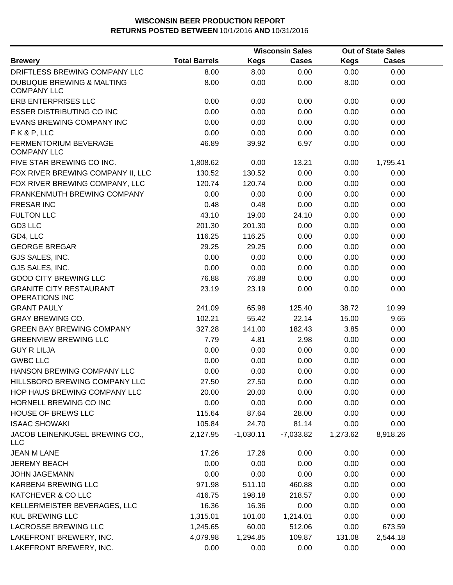|                                                            |                      |             | <b>Wisconsin Sales</b> |             | <b>Out of State Sales</b> |  |
|------------------------------------------------------------|----------------------|-------------|------------------------|-------------|---------------------------|--|
| <b>Brewery</b>                                             | <b>Total Barrels</b> | <b>Kegs</b> | <b>Cases</b>           | <b>Kegs</b> | Cases                     |  |
| DRIFTLESS BREWING COMPANY LLC                              | 8.00                 | 8.00        | 0.00                   | 0.00        | 0.00                      |  |
| <b>DUBUQUE BREWING &amp; MALTING</b><br><b>COMPANY LLC</b> | 8.00                 | 0.00        | 0.00                   | 8.00        | 0.00                      |  |
| <b>ERB ENTERPRISES LLC</b>                                 | 0.00                 | 0.00        | 0.00                   | 0.00        | 0.00                      |  |
| <b>ESSER DISTRIBUTING CO INC</b>                           | 0.00                 | 0.00        | 0.00                   | 0.00        | 0.00                      |  |
| EVANS BREWING COMPANY INC                                  | 0.00                 | 0.00        | 0.00                   | 0.00        | 0.00                      |  |
| FK&P, LLC                                                  | 0.00                 | 0.00        | 0.00                   | 0.00        | 0.00                      |  |
| <b>FERMENTORIUM BEVERAGE</b><br><b>COMPANY LLC</b>         | 46.89                | 39.92       | 6.97                   | 0.00        | 0.00                      |  |
| FIVE STAR BREWING CO INC.                                  | 1,808.62             | 0.00        | 13.21                  | 0.00        | 1,795.41                  |  |
| FOX RIVER BREWING COMPANY II, LLC                          | 130.52               | 130.52      | 0.00                   | 0.00        | 0.00                      |  |
| FOX RIVER BREWING COMPANY, LLC                             | 120.74               | 120.74      | 0.00                   | 0.00        | 0.00                      |  |
| FRANKENMUTH BREWING COMPANY                                | 0.00                 | 0.00        | 0.00                   | 0.00        | 0.00                      |  |
| <b>FRESAR INC</b>                                          | 0.48                 | 0.48        | 0.00                   | 0.00        | 0.00                      |  |
| <b>FULTON LLC</b>                                          | 43.10                | 19.00       | 24.10                  | 0.00        | 0.00                      |  |
| GD3 LLC                                                    | 201.30               | 201.30      | 0.00                   | 0.00        | 0.00                      |  |
| GD4, LLC                                                   | 116.25               | 116.25      | 0.00                   | 0.00        | 0.00                      |  |
| <b>GEORGE BREGAR</b>                                       | 29.25                | 29.25       | 0.00                   | 0.00        | 0.00                      |  |
| GJS SALES, INC.                                            | 0.00                 | 0.00        | 0.00                   | 0.00        | 0.00                      |  |
| GJS SALES, INC.                                            | 0.00                 | 0.00        | 0.00                   | 0.00        | 0.00                      |  |
| <b>GOOD CITY BREWING LLC</b>                               | 76.88                | 76.88       | 0.00                   | 0.00        | 0.00                      |  |
| <b>GRANITE CITY RESTAURANT</b><br><b>OPERATIONS INC</b>    | 23.19                | 23.19       | 0.00                   | 0.00        | 0.00                      |  |
| <b>GRANT PAULY</b>                                         | 241.09               | 65.98       | 125.40                 | 38.72       | 10.99                     |  |
| <b>GRAY BREWING CO.</b>                                    | 102.21               | 55.42       | 22.14                  | 15.00       | 9.65                      |  |
| <b>GREEN BAY BREWING COMPANY</b>                           | 327.28               | 141.00      | 182.43                 | 3.85        | 0.00                      |  |
| <b>GREENVIEW BREWING LLC</b>                               | 7.79                 | 4.81        | 2.98                   | 0.00        | 0.00                      |  |
| <b>GUY R LILJA</b>                                         | 0.00                 | 0.00        | 0.00                   | 0.00        | 0.00                      |  |
| <b>GWBC LLC</b>                                            | 0.00                 | 0.00        | 0.00                   | 0.00        | 0.00                      |  |
| HANSON BREWING COMPANY LLC                                 | 0.00                 | 0.00        | 0.00                   | 0.00        | 0.00                      |  |
| HILLSBORO BREWING COMPANY LLC                              | 27.50                | 27.50       | 0.00                   | 0.00        | 0.00                      |  |
| HOP HAUS BREWING COMPANY LLC                               | 20.00                | 20.00       | 0.00                   | 0.00        | 0.00                      |  |
| HORNELL BREWING CO INC                                     | 0.00                 | 0.00        | 0.00                   | 0.00        | 0.00                      |  |
| <b>HOUSE OF BREWS LLC</b>                                  | 115.64               | 87.64       | 28.00                  | 0.00        | 0.00                      |  |
| <b>ISAAC SHOWAKI</b>                                       | 105.84               | 24.70       | 81.14                  | 0.00        | 0.00                      |  |
| JACOB LEINENKUGEL BREWING CO.,<br><b>LLC</b>               | 2,127.95             | $-1,030.11$ | $-7,033.82$            | 1,273.62    | 8,918.26                  |  |
| <b>JEAN M LANE</b>                                         | 17.26                | 17.26       | 0.00                   | 0.00        | 0.00                      |  |
| <b>JEREMY BEACH</b>                                        | 0.00                 | 0.00        | 0.00                   | 0.00        | 0.00                      |  |
| <b>JOHN JAGEMANN</b>                                       | 0.00                 | 0.00        | 0.00                   | 0.00        | 0.00                      |  |
| KARBEN4 BREWING LLC                                        | 971.98               | 511.10      | 460.88                 | 0.00        | 0.00                      |  |
| KATCHEVER & CO LLC                                         | 416.75               | 198.18      | 218.57                 | 0.00        | 0.00                      |  |
| KELLERMEISTER BEVERAGES, LLC                               | 16.36                | 16.36       | 0.00                   | 0.00        | 0.00                      |  |
| <b>KUL BREWING LLC</b>                                     | 1,315.01             | 101.00      | 1,214.01               | 0.00        | 0.00                      |  |
| <b>LACROSSE BREWING LLC</b>                                | 1,245.65             | 60.00       | 512.06                 | 0.00        | 673.59                    |  |
| LAKEFRONT BREWERY, INC.                                    | 4,079.98             | 1,294.85    | 109.87                 | 131.08      | 2,544.18                  |  |
| LAKEFRONT BREWERY, INC.                                    | 0.00                 | 0.00        | 0.00                   | 0.00        | 0.00                      |  |
|                                                            |                      |             |                        |             |                           |  |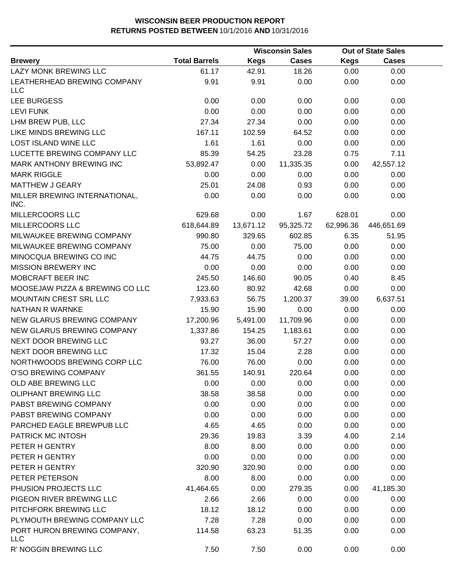|                                           |                      |             | <b>Wisconsin Sales</b> |             | <b>Out of State Sales</b> |  |
|-------------------------------------------|----------------------|-------------|------------------------|-------------|---------------------------|--|
| <b>Brewery</b>                            | <b>Total Barrels</b> | <b>Kegs</b> | <b>Cases</b>           | <b>Kegs</b> | <b>Cases</b>              |  |
| LAZY MONK BREWING LLC                     | 61.17                | 42.91       | 18.26                  | 0.00        | 0.00                      |  |
| LEATHERHEAD BREWING COMPANY<br><b>LLC</b> | 9.91                 | 9.91        | 0.00                   | 0.00        | 0.00                      |  |
| LEE BURGESS                               | 0.00                 | 0.00        | 0.00                   | 0.00        | 0.00                      |  |
| <b>LEVI FUNK</b>                          | 0.00                 | 0.00        | 0.00                   | 0.00        | 0.00                      |  |
| LHM BREW PUB, LLC                         | 27.34                | 27.34       | 0.00                   | 0.00        | 0.00                      |  |
| LIKE MINDS BREWING LLC                    | 167.11               | 102.59      | 64.52                  | 0.00        | 0.00                      |  |
| <b>LOST ISLAND WINE LLC</b>               | 1.61                 | 1.61        | 0.00                   | 0.00        | 0.00                      |  |
| LUCETTE BREWING COMPANY LLC               | 85.39                | 54.25       | 23.28                  | 0.75        | 7.11                      |  |
| MARK ANTHONY BREWING INC                  | 53,892.47            | 0.00        | 11,335.35              | 0.00        | 42,557.12                 |  |
| <b>MARK RIGGLE</b>                        | 0.00                 | 0.00        | 0.00                   | 0.00        | 0.00                      |  |
| <b>MATTHEW J GEARY</b>                    | 25.01                | 24.08       | 0.93                   | 0.00        | 0.00                      |  |
| MILLER BREWING INTERNATIONAL,<br>INC.     | 0.00                 | 0.00        | 0.00                   | 0.00        | 0.00                      |  |
| MILLERCOORS LLC                           | 629.68               | 0.00        | 1.67                   | 628.01      | 0.00                      |  |
| MILLERCOORS LLC                           | 618,644.89           | 13,671.12   | 95,325.72              | 62,996.36   | 446,651.69                |  |
| MILWAUKEE BREWING COMPANY                 | 990.80               | 329.65      | 602.85                 | 6.35        | 51.95                     |  |
| MILWAUKEE BREWING COMPANY                 | 75.00                | 0.00        | 75.00                  | 0.00        | 0.00                      |  |
| MINOCQUA BREWING CO INC                   | 44.75                | 44.75       | 0.00                   | 0.00        | 0.00                      |  |
| <b>MISSION BREWERY INC</b>                | 0.00                 | 0.00        | 0.00                   | 0.00        | 0.00                      |  |
| MOBCRAFT BEER INC                         | 245.50               | 146.60      | 90.05                  | 0.40        | 8.45                      |  |
| MOOSEJAW PIZZA & BREWING CO LLC           | 123.60               | 80.92       | 42.68                  | 0.00        | 0.00                      |  |
| MOUNTAIN CREST SRL LLC                    | 7,933.63             | 56.75       | 1,200.37               | 39.00       | 6,637.51                  |  |
| NATHAN R WARNKE                           | 15.90                | 15.90       | 0.00                   | 0.00        | 0.00                      |  |
| NEW GLARUS BREWING COMPANY                | 17,200.96            | 5,491.00    | 11,709.96              | 0.00        | 0.00                      |  |
| NEW GLARUS BREWING COMPANY                | 1,337.86             | 154.25      | 1,183.61               | 0.00        | 0.00                      |  |
| NEXT DOOR BREWING LLC                     | 93.27                | 36.00       | 57.27                  | 0.00        | 0.00                      |  |
| NEXT DOOR BREWING LLC                     | 17.32                | 15.04       | 2.28                   | 0.00        | 0.00                      |  |
| NORTHWOODS BREWING CORP LLC               | 76.00                | 76.00       | 0.00                   | 0.00        | 0.00                      |  |
| O'SO BREWING COMPANY                      | 361.55               | 140.91      | 220.64                 | 0.00        | 0.00                      |  |
| OLD ABE BREWING LLC                       | 0.00                 | 0.00        | 0.00                   | 0.00        | 0.00                      |  |
| <b>OLIPHANT BREWING LLC</b>               | 38.58                | 38.58       | 0.00                   | 0.00        | 0.00                      |  |
| PABST BREWING COMPANY                     | 0.00                 | 0.00        | 0.00                   | 0.00        | 0.00                      |  |
| PABST BREWING COMPANY                     | 0.00                 | 0.00        | 0.00                   | 0.00        | 0.00                      |  |
| PARCHED EAGLE BREWPUB LLC                 | 4.65                 | 4.65        | 0.00                   | 0.00        | 0.00                      |  |
| PATRICK MC INTOSH                         | 29.36                | 19.83       | 3.39                   | 4.00        | 2.14                      |  |
| PETER H GENTRY                            | 8.00                 | 8.00        | 0.00                   | 0.00        | 0.00                      |  |
| PETER H GENTRY                            | 0.00                 | 0.00        | 0.00                   | 0.00        | 0.00                      |  |
| PETER H GENTRY                            | 320.90               | 320.90      | 0.00                   | 0.00        | 0.00                      |  |
| PETER PETERSON                            | 8.00                 | 8.00        | 0.00                   | 0.00        | 0.00                      |  |
| PHUSION PROJECTS LLC                      | 41,464.65            | 0.00        | 279.35                 | 0.00        | 41,185.30                 |  |
| PIGEON RIVER BREWING LLC                  | 2.66                 | 2.66        | 0.00                   | 0.00        | 0.00                      |  |
| PITCHFORK BREWING LLC                     | 18.12                | 18.12       | 0.00                   | 0.00        | 0.00                      |  |
| PLYMOUTH BREWING COMPANY LLC              | 7.28                 | 7.28        | 0.00                   | 0.00        | 0.00                      |  |
| PORT HURON BREWING COMPANY,<br><b>LLC</b> | 114.58               | 63.23       | 51.35                  | 0.00        | 0.00                      |  |
| R' NOGGIN BREWING LLC                     | 7.50                 | 7.50        | 0.00                   | 0.00        | 0.00                      |  |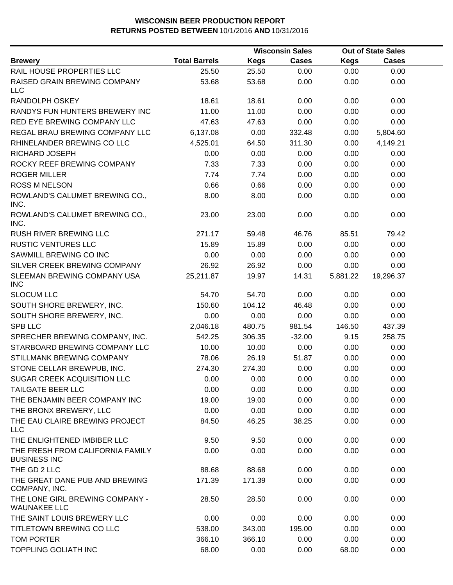|                                                         |                      |             | <b>Wisconsin Sales</b> |             | <b>Out of State Sales</b> |  |
|---------------------------------------------------------|----------------------|-------------|------------------------|-------------|---------------------------|--|
| <b>Brewery</b>                                          | <b>Total Barrels</b> | <b>Kegs</b> | <b>Cases</b>           | <b>Kegs</b> | <b>Cases</b>              |  |
| RAIL HOUSE PROPERTIES LLC                               | 25.50                | 25.50       | 0.00                   | 0.00        | 0.00                      |  |
| RAISED GRAIN BREWING COMPANY<br><b>LLC</b>              | 53.68                | 53.68       | 0.00                   | 0.00        | 0.00                      |  |
| <b>RANDOLPH OSKEY</b>                                   | 18.61                | 18.61       | 0.00                   | 0.00        | 0.00                      |  |
| RANDYS FUN HUNTERS BREWERY INC                          | 11.00                | 11.00       | 0.00                   | 0.00        | 0.00                      |  |
| RED EYE BREWING COMPANY LLC                             | 47.63                | 47.63       | 0.00                   | 0.00        | 0.00                      |  |
| REGAL BRAU BREWING COMPANY LLC                          | 6,137.08             | 0.00        | 332.48                 | 0.00        | 5,804.60                  |  |
| RHINELANDER BREWING CO LLC                              | 4,525.01             | 64.50       | 311.30                 | 0.00        | 4,149.21                  |  |
| RICHARD JOSEPH                                          | 0.00                 | 0.00        | 0.00                   | 0.00        | 0.00                      |  |
| ROCKY REEF BREWING COMPANY                              | 7.33                 | 7.33        | 0.00                   | 0.00        | 0.00                      |  |
| <b>ROGER MILLER</b>                                     | 7.74                 | 7.74        | 0.00                   | 0.00        | 0.00                      |  |
| <b>ROSS M NELSON</b>                                    | 0.66                 | 0.66        | 0.00                   | 0.00        | 0.00                      |  |
| ROWLAND'S CALUMET BREWING CO.,<br>INC.                  | 8.00                 | 8.00        | 0.00                   | 0.00        | 0.00                      |  |
| ROWLAND'S CALUMET BREWING CO.,<br>INC.                  | 23.00                | 23.00       | 0.00                   | 0.00        | 0.00                      |  |
| RUSH RIVER BREWING LLC                                  | 271.17               | 59.48       | 46.76                  | 85.51       | 79.42                     |  |
| <b>RUSTIC VENTURES LLC</b>                              | 15.89                | 15.89       | 0.00                   | 0.00        | 0.00                      |  |
| SAWMILL BREWING CO INC                                  | 0.00                 | 0.00        | 0.00                   | 0.00        | 0.00                      |  |
| SILVER CREEK BREWING COMPANY                            | 26.92                | 26.92       | 0.00                   | 0.00        | 0.00                      |  |
| SLEEMAN BREWING COMPANY USA<br><b>INC</b>               | 25,211.87            | 19.97       | 14.31                  | 5,881.22    | 19,296.37                 |  |
| <b>SLOCUM LLC</b>                                       | 54.70                | 54.70       | 0.00                   | 0.00        | 0.00                      |  |
| SOUTH SHORE BREWERY, INC.                               | 150.60               | 104.12      | 46.48                  | 0.00        | 0.00                      |  |
| SOUTH SHORE BREWERY, INC.                               | 0.00                 | 0.00        | 0.00                   | 0.00        | 0.00                      |  |
| SPB LLC                                                 | 2,046.18             | 480.75      | 981.54                 | 146.50      | 437.39                    |  |
| SPRECHER BREWING COMPANY, INC.                          | 542.25               | 306.35      | $-32.00$               | 9.15        | 258.75                    |  |
| STARBOARD BREWING COMPANY LLC                           | 10.00                | 10.00       | 0.00                   | 0.00        | 0.00                      |  |
| STILLMANK BREWING COMPANY                               | 78.06                | 26.19       | 51.87                  | 0.00        | 0.00                      |  |
| STONE CELLAR BREWPUB, INC.                              | 274.30               | 274.30      | 0.00                   | 0.00        | 0.00                      |  |
| SUGAR CREEK ACQUISITION LLC                             | 0.00                 | 0.00        | 0.00                   | 0.00        | 0.00                      |  |
| <b>TAILGATE BEER LLC</b>                                | 0.00                 | 0.00        | 0.00                   | 0.00        | 0.00                      |  |
| THE BENJAMIN BEER COMPANY INC                           | 19.00                | 19.00       | 0.00                   | 0.00        | 0.00                      |  |
| THE BRONX BREWERY, LLC                                  | 0.00                 | 0.00        | 0.00                   | 0.00        | 0.00                      |  |
| THE EAU CLAIRE BREWING PROJECT<br><b>LLC</b>            | 84.50                | 46.25       | 38.25                  | 0.00        | 0.00                      |  |
| THE ENLIGHTENED IMBIBER LLC                             | 9.50                 | 9.50        | 0.00                   | 0.00        | 0.00                      |  |
| THE FRESH FROM CALIFORNIA FAMILY<br><b>BUSINESS INC</b> | 0.00                 | 0.00        | 0.00                   | 0.00        | 0.00                      |  |
| THE GD 2 LLC                                            | 88.68                | 88.68       | 0.00                   | 0.00        | 0.00                      |  |
| THE GREAT DANE PUB AND BREWING<br>COMPANY, INC.         | 171.39               | 171.39      | 0.00                   | 0.00        | 0.00                      |  |
| THE LONE GIRL BREWING COMPANY -<br><b>WAUNAKEE LLC</b>  | 28.50                | 28.50       | 0.00                   | 0.00        | 0.00                      |  |
| THE SAINT LOUIS BREWERY LLC                             | 0.00                 | 0.00        | 0.00                   | 0.00        | 0.00                      |  |
| TITLETOWN BREWING CO LLC                                | 538.00               | 343.00      | 195.00                 | 0.00        | 0.00                      |  |
| <b>TOM PORTER</b>                                       | 366.10               | 366.10      | 0.00                   | 0.00        | 0.00                      |  |
| TOPPLING GOLIATH INC                                    | 68.00                | 0.00        | 0.00                   | 68.00       | 0.00                      |  |